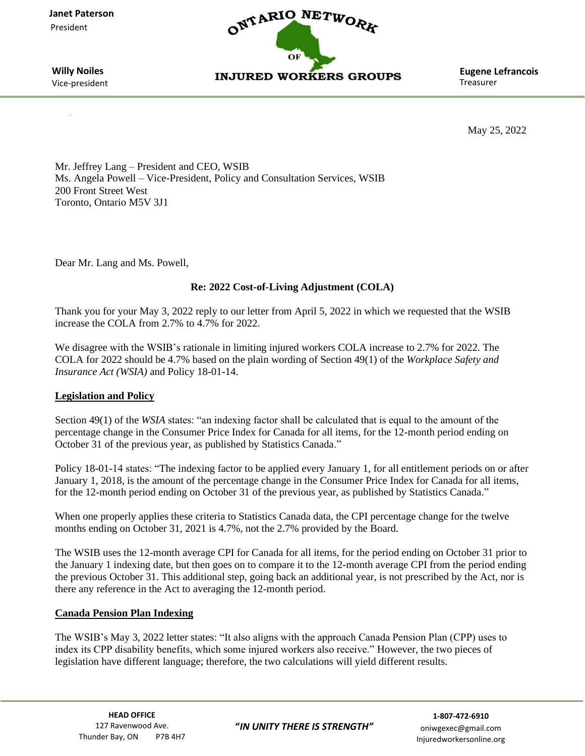**Janet Paterson**  President



Vice-president

**Treasurer** 

May 25, 2022

Mr. Jeffrey Lang – President and CEO, WSIB Ms. Angela Powell – Vice-President, Policy and Consultation Services, WSIB 200 Front Street West Toronto, Ontario M5V 3J1

Dear Mr. Lang and Ms. Powell,

# **Re: 2022 Cost-of-Living Adjustment (COLA)**

Thank you for your May 3, 2022 reply to our letter from April 5, 2022 in which we requested that the WSIB increase the COLA from 2.7% to 4.7% for 2022.

We disagree with the WSIB's rationale in limiting injured workers COLA increase to 2.7% for 2022. The COLA for 2022 should be 4.7% based on the plain wording of Section 49(1) of the *Workplace Safety and Insurance Act (WSIA)* and Policy 18-01-14.

# **Legislation and Policy**

Section 49(1) of the *WSIA* states: "an indexing factor shall be calculated that is equal to the amount of the percentage change in the Consumer Price Index for Canada for all items, for the 12-month period ending on October 31 of the previous year, as published by Statistics Canada."

Policy 18-01-14 states: "The indexing factor to be applied every January 1, for all entitlement periods on or after January 1, 2018, is the amount of the percentage change in the Consumer Price Index for Canada for all items, for the 12-month period ending on October 31 of the previous year, as published by Statistics Canada."

When one properly applies these criteria to Statistics Canada data, the CPI percentage change for the twelve months ending on October 31, 2021 is 4.7%, not the 2.7% provided by the Board.

The WSIB uses the 12-month average CPI for Canada for all items, for the period ending on October 31 prior to the January 1 indexing date, but then goes on to compare it to the 12-month average CPI from the period ending the previous October 31. This additional step, going back an additional year, is not prescribed by the Act, nor is there any reference in the Act to averaging the 12-month period.

## **Canada Pension Plan Indexing**

The WSIB's May 3, 2022 letter states: "It also aligns with the approach Canada Pension Plan (CPP) uses to index its CPP disability benefits, which some injured workers also receive." However, the two pieces of legislation have different language; therefore, the two calculations will yield different results.

**HEAD OFFICE**  127 Ravenwood Ave. Thunder Bay, ON P7B 4H7 Injuredworkersonline.org

**"***IN UNITY THERE IS STRENGTH"*

oniwgexec@gmail.com **1-807-472-6910**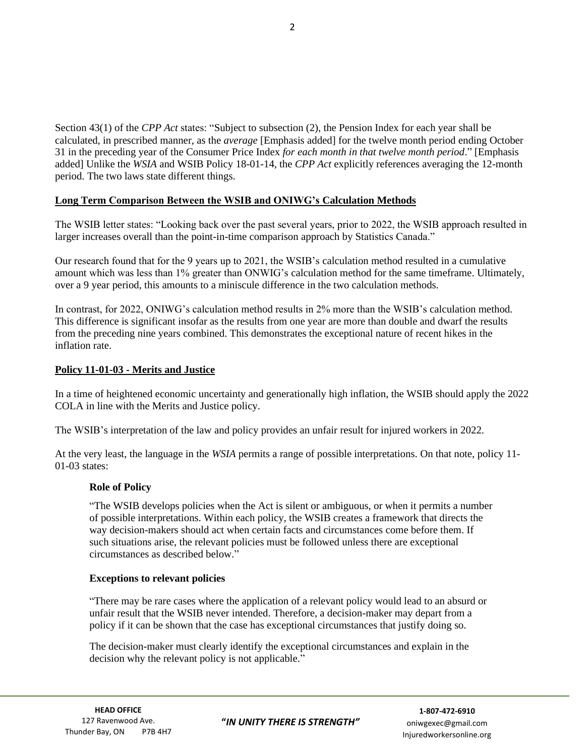Section 43(1) of the *CPP Act* states: "Subject to subsection (2), the Pension Index for each year shall be calculated, in prescribed manner, as the *average* [Emphasis added] for the twelve month period ending October 31 in the preceding year of the Consumer Price Index *for each month in that twelve month period*." [Emphasis added] Unlike the *WSIA* and WSIB Policy 18-01-14, the *CPP Act* explicitly references averaging the 12-month period. The two laws state different things.

## **Long Term Comparison Between the WSIB and ONIWG's Calculation Methods**

The WSIB letter states: "Looking back over the past several years, prior to 2022, the WSIB approach resulted in larger increases overall than the point-in-time comparison approach by Statistics Canada."

Our research found that for the 9 years up to 2021, the WSIB's calculation method resulted in a cumulative amount which was less than 1% greater than ONWIG's calculation method for the same timeframe. Ultimately, over a 9 year period, this amounts to a miniscule difference in the two calculation methods.

In contrast, for 2022, ONIWG's calculation method results in 2% more than the WSIB's calculation method. This difference is significant insofar as the results from one year are more than double and dwarf the results from the preceding nine years combined. This demonstrates the exceptional nature of recent hikes in the inflation rate.

## **Policy 11-01-03 - Merits and Justice**

In a time of heightened economic uncertainty and generationally high inflation, the WSIB should apply the 2022 COLA in line with the Merits and Justice policy.

The WSIB's interpretation of the law and policy provides an unfair result for injured workers in 2022.

At the very least, the language in the *WSIA* permits a range of possible interpretations. On that note, policy 11- 01-03 states:

## **Role of Policy**

"The WSIB develops policies when the Act is silent or ambiguous, or when it permits a number of possible interpretations. Within each policy, the WSIB creates a framework that directs the way decision-makers should act when certain facts and circumstances come before them. If such situations arise, the relevant policies must be followed unless there are exceptional circumstances as described below."

## **Exceptions to relevant policies**

"There may be rare cases where the application of a relevant policy would lead to an absurd or unfair result that the WSIB never intended. Therefore, a decision-maker may depart from a policy if it can be shown that the case has exceptional circumstances that justify doing so.

The decision-maker must clearly identify the exceptional circumstances and explain in the decision why the relevant policy is not applicable."

**"***IN UNITY THERE IS STRENGTH"*

oniwgexec@gmail.com **1-807-472-6910**